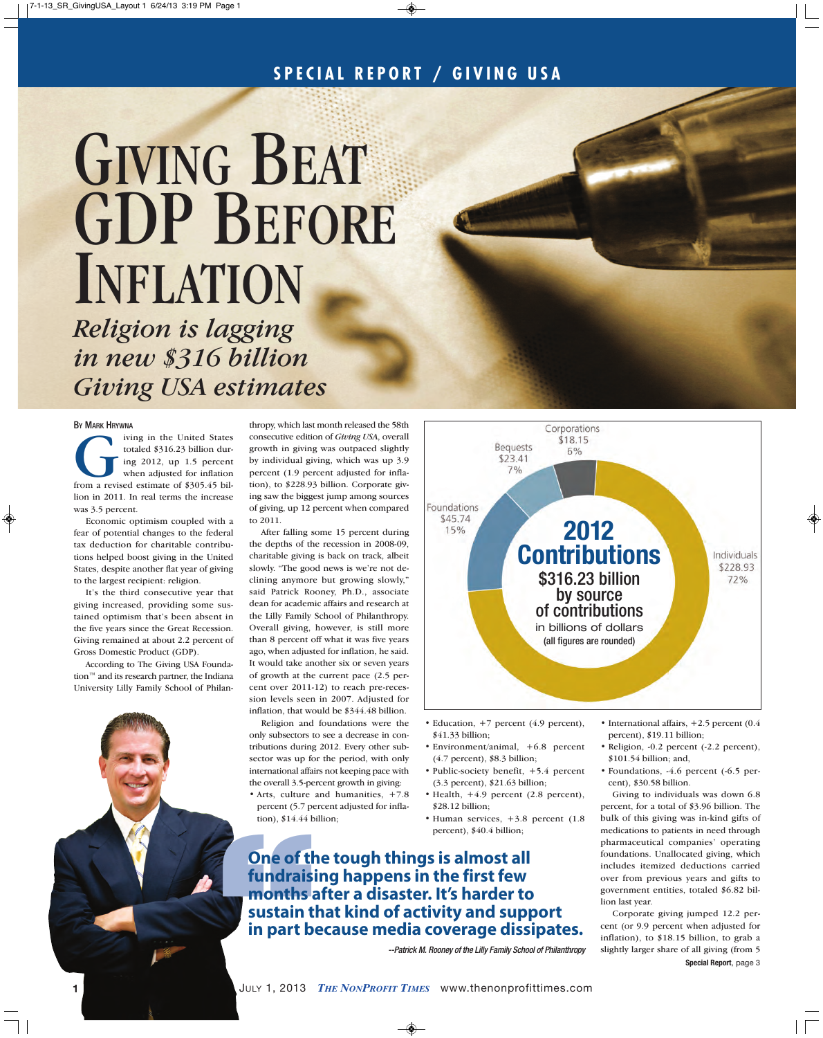# GIVING BEAT GDP BEFORE INFLATION

*Religion is lagging in new \$316 billion Giving USA estimates*

### BY MARK HRYWNA

The United States<br>totaled \$316.23 billion during 2012, up 1.5 percent<br>when adjusted for inflation<br>from a revised estimate of \$305.45 biltotaled \$316.23 billion during 2012, up 1.5 percent when adjusted for inflation lion in 2011. In real terms the increase was 3.5 percent.

Economic optimism coupled with a fear of potential changes to the federal tax deduction for charitable contributions helped boost giving in the United States, despite another flat year of giving to the largest recipient: religion.

It's the third consecutive year that giving increased, providing some sustained optimism that's been absent in the five years since the Great Recession. Giving remained at about 2.2 percent of Gross Domestic Product (GDP).

According to The Giving USA Foundation™ and its research partner, the Indiana University Lilly Family School of Philan-

thropy, which last month released the 58th consecutive edition of *Giving USA*, overall growth in giving was outpaced slightly by individual giving, which was up 3.9 percent (1.9 percent adjusted for inflation), to \$228.93 billion. Corporate giving saw the biggest jump among sources of giving, up 12 percent when compared to 2011.

After falling some 15 percent during the depths of the recession in 2008-09, charitable giving is back on track, albeit slowly. "The good news is we're not declining anymore but growing slowly," said Patrick Rooney, Ph.D., associate dean for academic affairs and research at the Lilly Family School of Philanthropy. Overall giving, however, is still more than 8 percent off what it was five years ago, when adjusted for inflation, he said. It would take another six or seven years of growth at the current pace (2.5 percent over 2011-12) to reach pre-recession levels seen in 2007. Adjusted for inflation, that would be \$344.48 billion.

Religion and foundations were the only subsectors to see a decrease in contributions during 2012. Every other subsector was up for the period, with only international affairs not keeping pace with the overall 3.5-percent growth in giving:

• Arts, culture and humanities, +7.8 percent (5.7 percent adjusted for inflation), \$14.44 billion;



- Education, +7 percent (4.9 percent), \$41.33 billion;
- Environment/animal, +6.8 percent (4.7 percent), \$8.3 billion;
- Public-society benefit, +5.4 percent (3.3 percent), \$21.63 billion;
- Health,  $+4.9$  percent (2.8 percent), \$28.12 billion;
- Human services,  $+3.8$  percent (1.8) percent), \$40.4 billion;

Exerce The two states are the tough things is almost all fundational affairs not keeping pace with  $\cdot$  Public-society benefit, the overall 3.5-percent growth in giving:<br>
the overall 3.5-percent growth in giving:<br>  $\cdot$  *On* **fundraising happens in the first few months after a disaster. It's harder to sustain that kind of activity and support in part because media coverage dissipates.**

--Patrick M. Rooney of the Lilly Family School of Philanthropy

- International affairs, +2.5 percent (0.4 percent), \$19.11 billion;
- Religion, -0.2 percent (-2.2 percent), \$101.54 billion; and,
- Foundations, -4.6 percent (-6.5 percent), \$30.58 billion.

Giving to individuals was down 6.8 percent, for a total of \$3.96 billion. The bulk of this giving was in-kind gifts of medications to patients in need through pharmaceutical companies' operating foundations. Unallocated giving, which includes itemized deductions carried over from previous years and gifts to government entities, totaled \$6.82 billion last year.

Corporate giving jumped 12.2 percent (or 9.9 percent when adjusted for inflation), to \$18.15 billion, to grab a slightly larger share of all giving (from 5 **Special Report**, page 3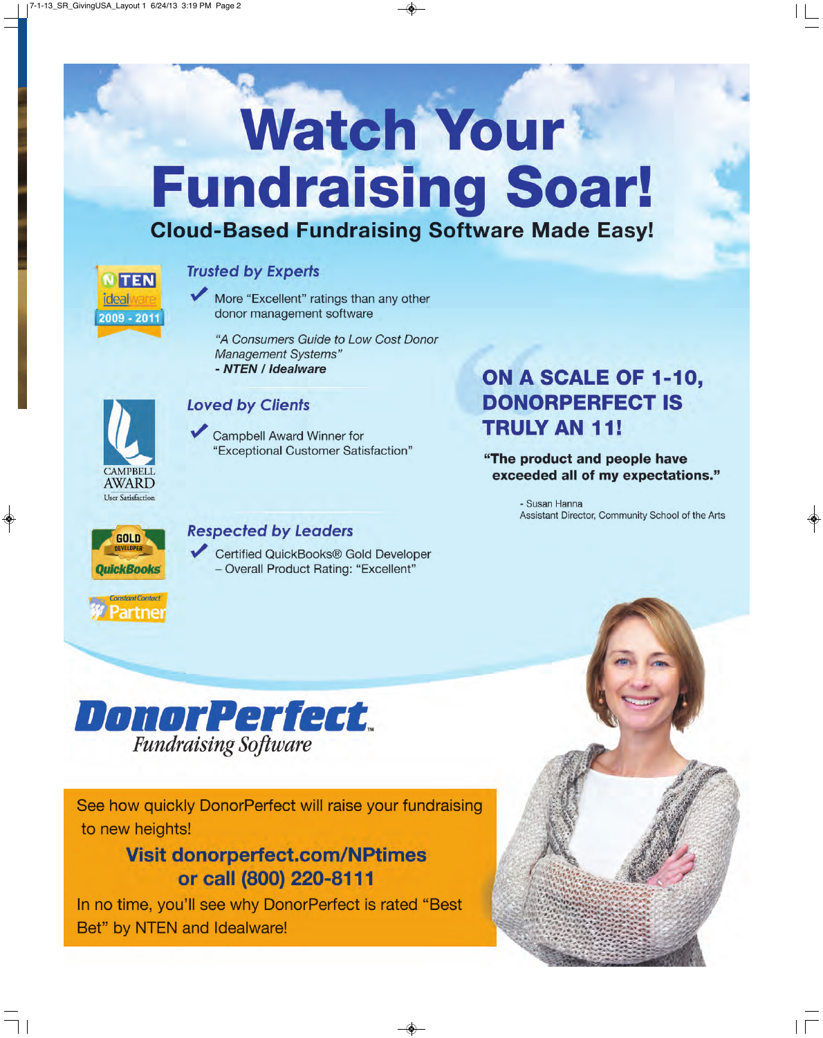# **Watch Your Fundraising Soar!**

# **Cloud-Based Fundraising Software Made Easy!**



## **Trusted by Experts**

More "Excellent" ratings than any other donor management software

"A Consumers Guide to Low Cost Donor **Management Systems"** - NTEN / Idealware



## **Loved by Clients**

Campbell Award Winner for "Exceptional Customer Satisfaction"

# ON A SCALE OF 1-10, **DONORPERFECT IS TRULY AN 11!**

"The product and people have exceeded all of my expectations."

> - Susan Hanna Assistant Director, Community School of the Arts



**Constant Contact Partnei** 

## **Respected by Leaders**

Certified QuickBooks® Gold Developer - Overall Product Rating: "Excellent"



See how quickly DonorPerfect will raise your fundraising to new heights!

# **Visit donorperfect.com/NPtimes** or call (800) 220-8111

In no time, you'll see why DonorPerfect is rated "Best Bet" by NTEN and Idealware!

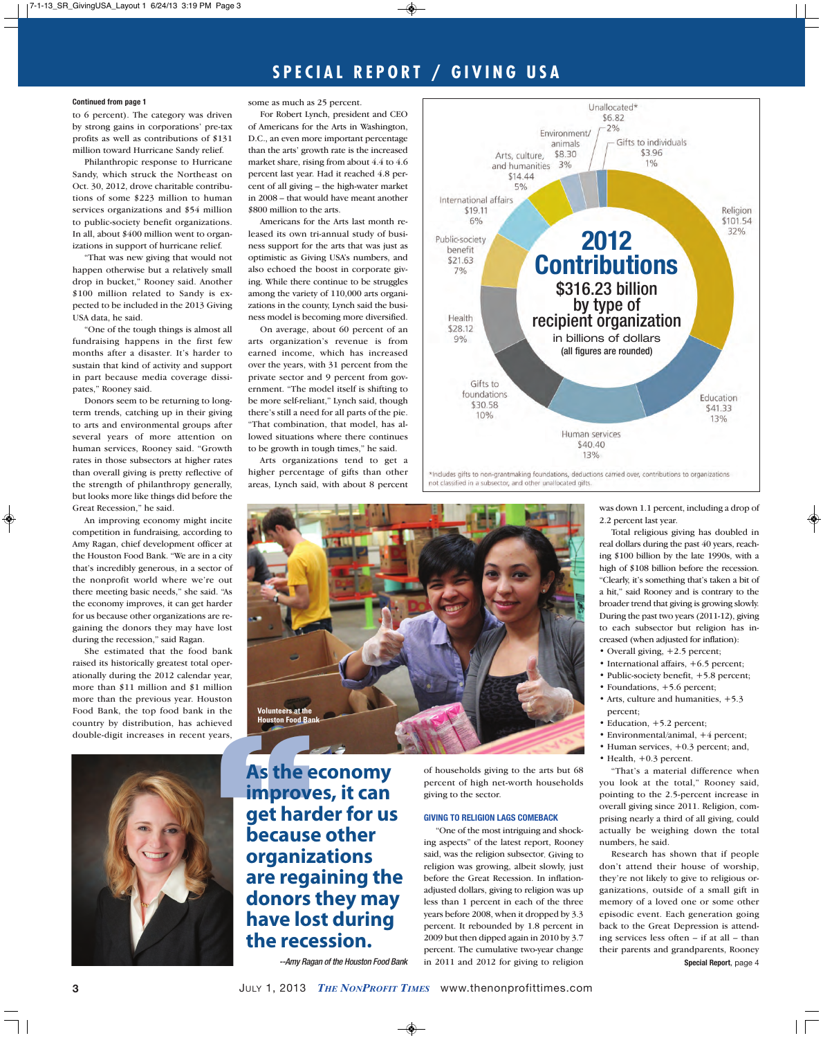### **Continued from page 1**

to 6 percent). The category was driven by strong gains in corporations' pre-tax profits as well as contributions of \$131 million toward Hurricane Sandy relief.

Philanthropic response to Hurricane Sandy, which struck the Northeast on Oct. 30, 2012, drove charitable contributions of some \$223 million to human services organizations and \$54 million to public-society benefit organizations. In all, about \$400 million went to organizations in support of hurricane relief.

"That was new giving that would not happen otherwise but a relatively small drop in bucket," Rooney said. Another \$100 million related to Sandy is expected to be included in the 2013 Giving USA data, he said.

"One of the tough things is almost all fundraising happens in the first few months after a disaster. It's harder to sustain that kind of activity and support in part because media coverage dissipates," Rooney said.

Donors seem to be returning to longterm trends, catching up in their giving to arts and environmental groups after several years of more attention on human services, Rooney said. "Growth rates in those subsectors at higher rates than overall giving is pretty reflective of the strength of philanthropy generally, but looks more like things did before the Great Recession," he said.

An improving economy might incite competition in fundraising, according to Amy Ragan, chief development officer at the Houston Food Bank. "We are in a city that's incredibly generous, in a sector of the nonprofit world where we're out there meeting basic needs," she said. "As the economy improves, it can get harder for us because other organizations are regaining the donors they may have lost during the recession," said Ragan.

She estimated that the food bank raised its historically greatest total operationally during the 2012 calendar year, more than \$11 million and \$1 million more than the previous year. Houston Food Bank, the top food bank in the country by distribution, has achieved double-digit increases in recent years,



some as much as 25 percent.

For Robert Lynch, president and CEO of Americans for the Arts in Washington, D.C., an even more important percentage than the arts' growth rate is the increased market share, rising from about 4.4 to 4.6 percent last year. Had it reached 4.8 percent of all giving – the high-water market in 2008 – that would have meant another \$800 million to the arts.

Americans for the Arts last month released its own tri-annual study of business support for the arts that was just as optimistic as Giving USA's numbers, and also echoed the boost in corporate giving. While there continue to be struggles among the variety of 110,000 arts organizations in the county, Lynch said the business model is becoming more diversified.

On average, about 60 percent of an arts organization's revenue is from earned income, which has increased over the years, with 31 percent from the private sector and 9 percent from government. "The model itself is shifting to be more self-reliant," Lynch said, though there's still a need for all parts of the pie. "That combination, that model, has allowed situations where there continues to be growth in tough times," he said.

Arts organizations tend to get a higher percentage of gifts than other areas, Lynch said, with about 8 percent



Includes gifts to non-grantmaking foundations, deductions carried over, contributions to organizations not classified in a subsector, and other unallocated gifts.



**Example 18 and Solution Food Bank**<br> **As the economy**<br> **Ms the economy**<br> **As the economy**<br> **As the economy**<br> **As the economy**<br> **As the economy**<br> **As the economy**<br> **As the economy**<br> **As the economy**<br> **As the economy improves, it can get harder for us because other organizations are regaining the donors they may have lost during the recession.**

--Amy Ragan of the Houston Food Bank

of households giving to the arts but 68 percent of high net-worth households giving to the sector.

### **GIVING TO RELIGION LAGS COMEBACK**

"One of the most intriguing and shocking aspects" of the latest report, Rooney said, was the religion subsector. Giving to religion was growing, albeit slowly, just before the Great Recession. In inflationadjusted dollars, giving to religion was up less than 1 percent in each of the three years before 2008, when it dropped by 3.3 percent. It rebounded by 1.8 percent in 2009 but then dipped again in 2010 by 3.7 percent. The cumulative two-year change in 2011 and 2012 for giving to religion was down 1.1 percent, including a drop of 2.2 percent last year.

Total religious giving has doubled in real dollars during the past 40 years, reaching \$100 billion by the late 1990s, with a high of \$108 billion before the recession. "Clearly, it's something that's taken a bit of a hit," said Rooney and is contrary to the broader trend that giving is growing slowly. During the past two years (2011-12), giving to each subsector but religion has increased (when adjusted for inflation):

- Overall giving, +2.5 percent;
- International affairs, +6.5 percent;
- Public-society benefit, +5.8 percent;
- Foundations, +5.6 percent;
- Arts, culture and humanities, +5.3 percent;
- Education, +5.2 percent;
- Environmental/animal, +4 percent;
- Human services, +0.3 percent; and,
- Health,  $+0.3$  percent.

"That's a material difference when you look at the total," Rooney said, pointing to the 2.5-percent increase in overall giving since 2011. Religion, comprising nearly a third of all giving, could actually be weighing down the total numbers, he said.

Research has shown that if people don't attend their house of worship, they're not likely to give to religious organizations, outside of a small gift in memory of a loved one or some other episodic event. Each generation going back to the Great Depression is attending services less often – if at all – than their parents and grandparents, Rooney **Special Report**, page 4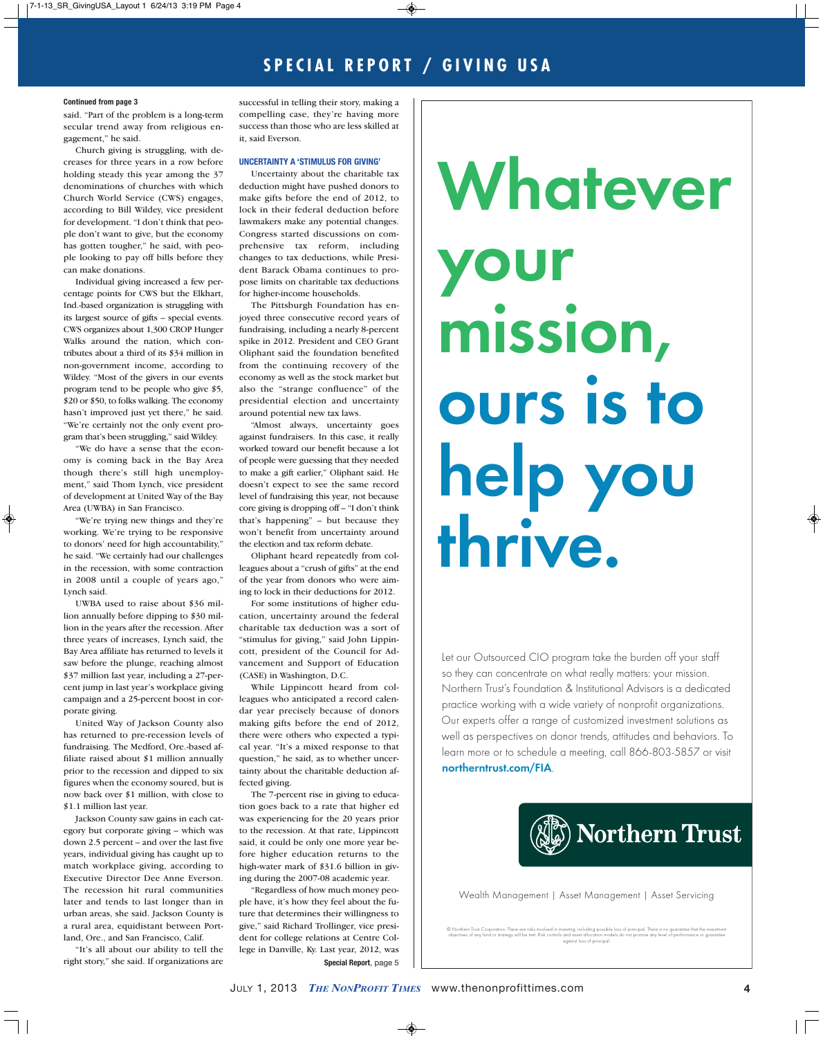#### **Continued from page 3**

said. "Part of the problem is a long-term secular trend away from religious engagement," he said.

Church giving is struggling, with decreases for three years in a row before holding steady this year among the 37 denominations of churches with which Church World Service (CWS) engages, according to Bill Wildey, vice president for development. "I don't think that people don't want to give, but the economy has gotten tougher," he said, with people looking to pay off bills before they can make donations.

Individual giving increased a few percentage points for CWS but the Elkhart, Ind.-based organization is struggling with its largest source of gifts – special events. CWS organizes about 1,300 CROP Hunger Walks around the nation, which contributes about a third of its \$34 million in non-government income, according to Wildey. "Most of the givers in our events program tend to be people who give \$5, \$20 or \$50, to folks walking. The economy hasn't improved just yet there," he said. "We're certainly not the only event program that's been struggling," said Wildey.

"We do have a sense that the economy is coming back in the Bay Area though there's still high unemployment," said Thom Lynch, vice president of development at United Way of the Bay Area (UWBA) in San Francisco.

"We're trying new things and they're working. We're trying to be responsive to donors' need for high accountability," he said. "We certainly had our challenges in the recession, with some contraction in 2008 until a couple of years ago," Lynch said.

UWBA used to raise about \$36 million annually before dipping to \$30 million in the years after the recession. After three years of increases, Lynch said, the Bay Area affiliate has returned to levels it saw before the plunge, reaching almost \$37 million last year, including a 27-percent jump in last year's workplace giving campaign and a 25-percent boost in corporate giving.

United Way of Jackson County also has returned to pre-recession levels of fundraising. The Medford, Ore.-based affiliate raised about \$1 million annually prior to the recession and dipped to six figures when the economy soured, but is now back over \$1 million, with close to \$1.1 million last year.

Jackson County saw gains in each category but corporate giving – which was down 2.5 percent – and over the last five years, individual giving has caught up to match workplace giving, according to Executive Director Dee Anne Everson. The recession hit rural communities later and tends to last longer than in urban areas, she said. Jackson County is a rural area, equidistant between Portland, Ore., and San Francisco, Calif.

"It's all about our ability to tell the right story," she said. If organizations are

successful in telling their story, making a compelling case, they're having more success than those who are less skilled at it, said Everson.

#### **UNCERTAINTY A 'STIMULUS FOR GIVING'**

Uncertainty about the charitable tax deduction might have pushed donors to make gifts before the end of 2012, to lock in their federal deduction before lawmakers make any potential changes. Congress started discussions on comprehensive tax reform, including changes to tax deductions, while President Barack Obama continues to propose limits on charitable tax deductions for higher-income households.

The Pittsburgh Foundation has enjoyed three consecutive record years of fundraising, including a nearly 8-percent spike in 2012. President and CEO Grant Oliphant said the foundation benefited from the continuing recovery of the economy as well as the stock market but also the "strange confluence" of the presidential election and uncertainty around potential new tax laws.

"Almost always, uncertainty goes against fundraisers. In this case, it really worked toward our benefit because a lot of people were guessing that they needed to make a gift earlier," Oliphant said. He doesn't expect to see the same record level of fundraising this year, not because core giving is dropping off – "I don't think that's happening" – but because they won't benefit from uncertainty around the election and tax reform debate.

Oliphant heard repeatedly from colleagues about a "crush of gifts" at the end of the year from donors who were aiming to lock in their deductions for 2012.

For some institutions of higher education, uncertainty around the federal charitable tax deduction was a sort of "stimulus for giving," said John Lippincott, president of the Council for Advancement and Support of Education (CASE) in Washington, D.C.

While Lippincott heard from colleagues who anticipated a record calendar year precisely because of donors making gifts before the end of 2012, there were others who expected a typical year. "It's a mixed response to that question," he said, as to whether uncertainty about the charitable deduction affected giving.

The 7-percent rise in giving to education goes back to a rate that higher ed was experiencing for the 20 years prior to the recession. At that rate, Lippincott said, it could be only one more year before higher education returns to the high-water mark of \$31.6 billion in giving during the 2007-08 academic year.

"Regardless of how much money people have, it's how they feel about the future that determines their willingness to give," said Richard Trollinger, vice president for college relations at Centre College in Danville, Ky. Last year, 2012, was **Special Report**, page 5

# **Whatever your mission, ours is to help you thrive.**

Let our Outsourced CIO program take the burden off your staff so they can concentrate on what really matters: your mission. Northern Trust's Foundation & Institutional Advisors is a dedicated practice working with a wide variety of nonprofit organizations. Our experts offer a range of customized investment solutions as well as perspectives on donor trends, attitudes and behaviors. To learn more or to schedule a meeting, call 866-803-5857 or visit **northerntrust.com/FIA**.



Wealth Management | Asset Management | Asset Servicing

© Northern Trust Corporation. There are risks involved in investing, including possible loss of principal. There is no guarantee that the investment<br>objectives of any fund or strategy will be met. Risk controls and asset a